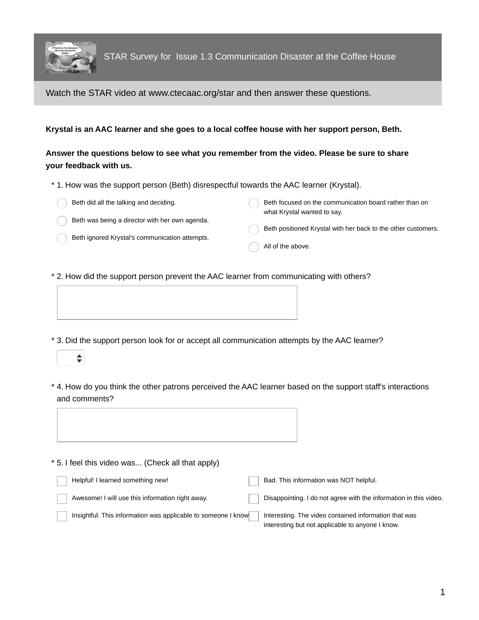

 $\div$ 

Watch the STAR video at www.ctecaac.org/star and then answer these questions.

**Krystal is an AAC learner and she goes to a local coffee house with her support person, Beth.**

## **Answer the questions below to see what you remember from the video. Please be sure to share your feedback with us.**

- \* 1. How was the support person (Beth) disrespectful towards the AAC learner (Krystal).
	- Beth did all the talking and deciding.

Beth focused on the communication board rather than on what Krystal wanted to say.

- Beth was being a director with her own agenda.
- Beth ignored Krystal's communication attempts.
- Beth positioned Krystal with her back to the other customers.
	- All of the above.
- \* 2. How did the support person prevent the AAC learner from communicating with others?
- \* 3. Did the support person look for or accept all communication attempts by the AAC learner?
- 4. How do you think the other patrons perceived the AAC learner based on the support staff's interactions \* and comments?



\* 5. I feel this video was... (Check all that apply)

| Helpful! I learned something new!                             | Bad. This information was NOT helpful.                                                                    |
|---------------------------------------------------------------|-----------------------------------------------------------------------------------------------------------|
| Awesome! I will use this information right away.              | Disappointing. I do not agree with the information in this video.                                         |
| Insightful. This information was applicable to someone I know | Interesting. The video contained information that was<br>interesting but not applicable to anyone I know. |